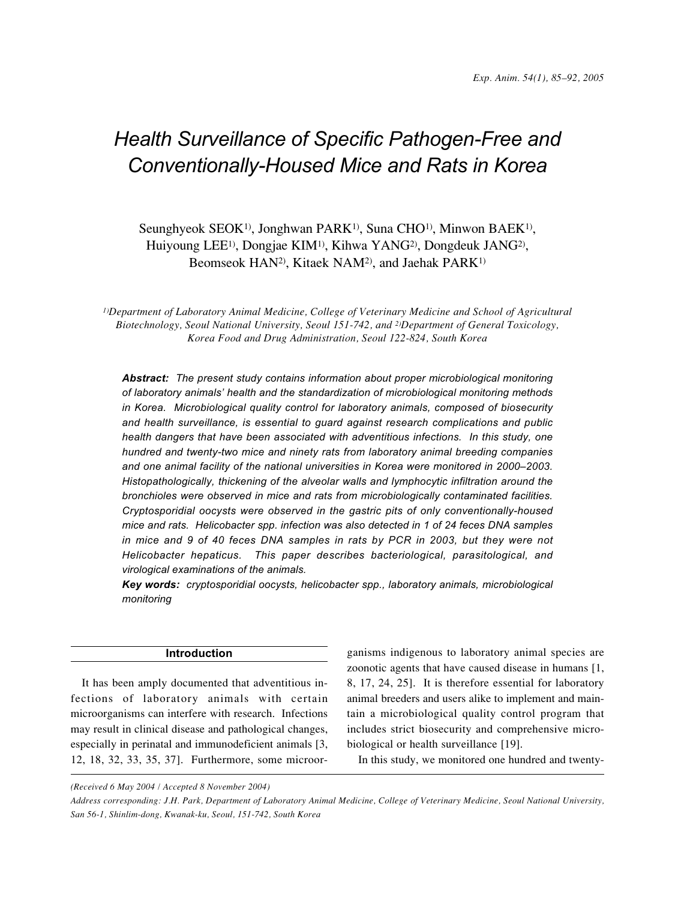# *Health Surveillance of Specific Pathogen-Free and Conventionally-Housed Mice and Rats in Korea*

Seunghyeok SEOK<sup>1)</sup>, Jonghwan PARK<sup>1)</sup>, Suna CHO<sup>1</sup><sup>)</sup>, Minwon BAEK<sup>1</sup><sup>)</sup>, Huiyoung LEE1), Dongjae KIM1), Kihwa YANG2), Dongdeuk JANG2), Beomseok HAN2), Kitaek NAM2), and Jaehak PARK1)

*1)Department of Laboratory Animal Medicine, College of Veterinary Medicine and School of Agricultural Biotechnology, Seoul National University, Seoul 151-742, and 2)Department of General Toxicology, Korea Food and Drug Administration, Seoul 122-824, South Korea*

*Abstract: The present study contains information about proper microbiological monitoring of laboratory animals' health and the standardization of microbiological monitoring methods in Korea. Microbiological quality control for laboratory animals, composed of biosecurity and health surveillance, is essential to guard against research complications and public health dangers that have been associated with adventitious infections. In this study, one hundred and twenty-two mice and ninety rats from laboratory animal breeding companies and one animal facility of the national universities in Korea were monitored in 2000–2003. Histopathologically, thickening of the alveolar walls and lymphocytic infiltration around the bronchioles were observed in mice and rats from microbiologically contaminated facilities. Cryptosporidial oocysts were observed in the gastric pits of only conventionally-housed mice and rats. Helicobacter spp. infection was also detected in 1 of 24 feces DNA samples in mice and 9 of 40 feces DNA samples in rats by PCR in 2003, but they were not Helicobacter hepaticus. This paper describes bacteriological, parasitological, and virological examinations of the animals.*

*Key words: cryptosporidial oocysts, helicobacter spp., laboratory animals, microbiological monitoring*

## **Introduction**

It has been amply documented that adventitious infections of laboratory animals with certain microorganisms can interfere with research. Infections may result in clinical disease and pathological changes, especially in perinatal and immunodeficient animals [3, 12, 18, 32, 33, 35, 37]. Furthermore, some microorganisms indigenous to laboratory animal species are zoonotic agents that have caused disease in humans [1, 8, 17, 24, 25]. It is therefore essential for laboratory animal breeders and users alike to implement and maintain a microbiological quality control program that includes strict biosecurity and comprehensive microbiological or health surveillance [19].

In this study, we monitored one hundred and twenty-

*(Received 6 May 2004 / Accepted 8 November 2004)*

*Address corresponding: J.H. Park, Department of Laboratory Animal Medicine, College of Veterinary Medicine, Seoul National University, San 56-1, Shinlim-dong, Kwanak-ku, Seoul, 151-742, South Korea*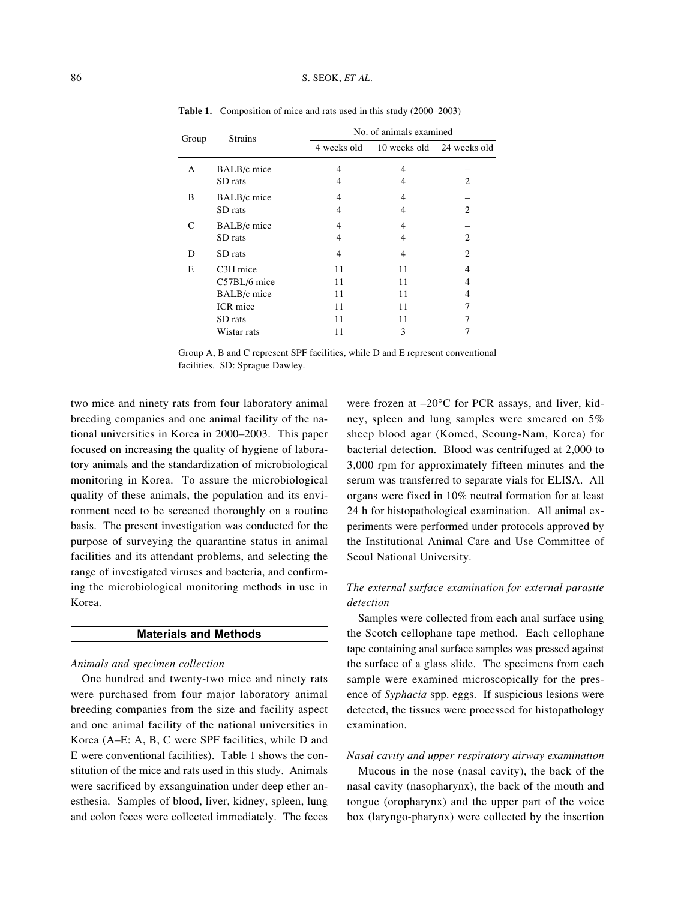| Group | <b>Strains</b> | No. of animals examined |                                       |                             |  |  |
|-------|----------------|-------------------------|---------------------------------------|-----------------------------|--|--|
|       |                |                         | 4 weeks old 10 weeks old 24 weeks old |                             |  |  |
| A     | BALB/c mice    | $\overline{4}$          | 4                                     |                             |  |  |
|       | SD rats        | 4                       | 4                                     | 2                           |  |  |
| B     | BALB/c mice    | 4                       | 4                                     |                             |  |  |
|       | SD rats        | 4                       | 4                                     | 2                           |  |  |
| C     | BALB/c mice    | 4                       | 4                                     |                             |  |  |
|       | SD rats        | 4                       | 4                                     | $\overline{c}$              |  |  |
| D     | SD rats        | 4                       | 4                                     | $\mathcal{D}_{\mathcal{L}}$ |  |  |
| E     | C3H mice       | 11                      | 11                                    | 4                           |  |  |
|       | C57BL/6 mice   | 11                      | 11                                    | 4                           |  |  |
|       | BALB/c mice    | 11                      | 11                                    | 4                           |  |  |
|       | ICR mice       | 11                      | 11                                    |                             |  |  |
|       | SD rats        | 11                      | 11                                    |                             |  |  |
|       | Wistar rats    | 11                      | 3                                     |                             |  |  |

**Table 1.** Composition of mice and rats used in this study (2000–2003)

Group A, B and C represent SPF facilities, while D and E represent conventional facilities. SD: Sprague Dawley.

two mice and ninety rats from four laboratory animal breeding companies and one animal facility of the national universities in Korea in 2000–2003. This paper focused on increasing the quality of hygiene of laboratory animals and the standardization of microbiological monitoring in Korea. To assure the microbiological quality of these animals, the population and its environment need to be screened thoroughly on a routine basis. The present investigation was conducted for the purpose of surveying the quarantine status in animal facilities and its attendant problems, and selecting the range of investigated viruses and bacteria, and confirming the microbiological monitoring methods in use in Korea.

## **Materials and Methods**

## *Animals and specimen collection*

One hundred and twenty-two mice and ninety rats were purchased from four major laboratory animal breeding companies from the size and facility aspect and one animal facility of the national universities in Korea (A–E: A, B, C were SPF facilities, while D and E were conventional facilities). Table 1 shows the constitution of the mice and rats used in this study. Animals were sacrificed by exsanguination under deep ether anesthesia. Samples of blood, liver, kidney, spleen, lung and colon feces were collected immediately. The feces

were frozen at –20°C for PCR assays, and liver, kidney, spleen and lung samples were smeared on 5% sheep blood agar (Komed, Seoung-Nam, Korea) for bacterial detection. Blood was centrifuged at 2,000 to 3,000 rpm for approximately fifteen minutes and the serum was transferred to separate vials for ELISA. All organs were fixed in 10% neutral formation for at least 24 h for histopathological examination. All animal experiments were performed under protocols approved by the Institutional Animal Care and Use Committee of Seoul National University.

## *The external surface examination for external parasite detection*

Samples were collected from each anal surface using the Scotch cellophane tape method. Each cellophane tape containing anal surface samples was pressed against the surface of a glass slide. The specimens from each sample were examined microscopically for the presence of *Syphacia* spp. eggs. If suspicious lesions were detected, the tissues were processed for histopathology examination.

#### *Nasal cavity and upper respiratory airway examination*

Mucous in the nose (nasal cavity), the back of the nasal cavity (nasopharynx), the back of the mouth and tongue (oropharynx) and the upper part of the voice box (laryngo-pharynx) were collected by the insertion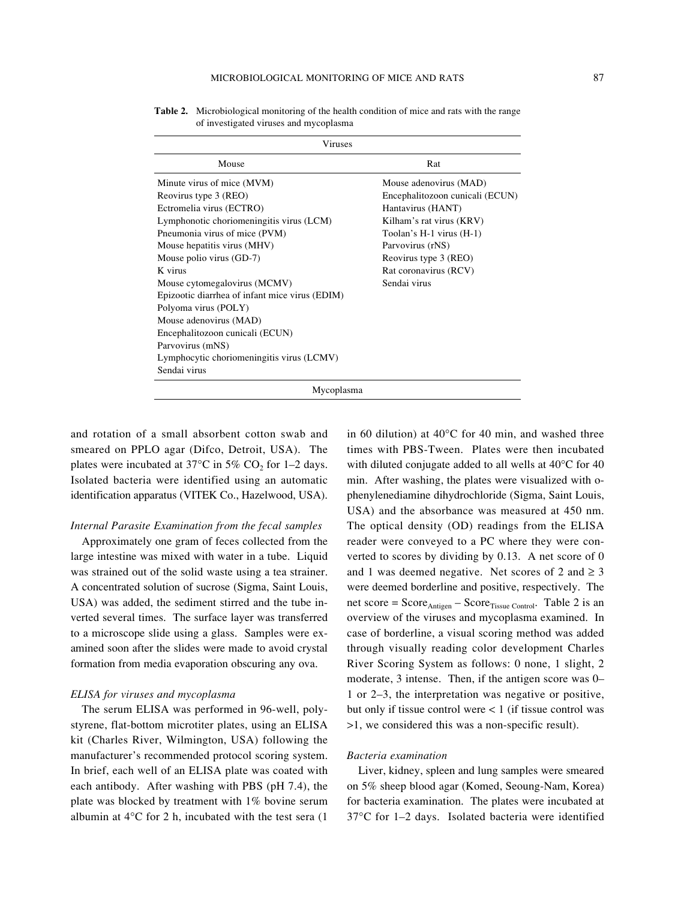| Viruses                                                                                                                                                                                                                                                                                                                                      |                                                                                                                                                                                                                                  |  |  |  |  |
|----------------------------------------------------------------------------------------------------------------------------------------------------------------------------------------------------------------------------------------------------------------------------------------------------------------------------------------------|----------------------------------------------------------------------------------------------------------------------------------------------------------------------------------------------------------------------------------|--|--|--|--|
| Mouse                                                                                                                                                                                                                                                                                                                                        | Rat                                                                                                                                                                                                                              |  |  |  |  |
| Minute virus of mice (MVM)<br>Reovirus type 3 (REO)<br>Ectromelia virus (ECTRO)<br>Lymphonotic choriomeningitis virus (LCM)<br>Pneumonia virus of mice (PVM)<br>Mouse hepatitis virus (MHV)<br>Mouse polio virus (GD-7)<br>K virus<br>Mouse cytomegalovirus (MCMV)<br>Epizootic diarrhea of infant mice virus (EDIM)<br>Polyoma virus (POLY) | Mouse adenovirus (MAD)<br>Encephalitozoon cunicali (ECUN)<br>Hantavirus (HANT)<br>Kilham's rat virus (KRV)<br>Toolan's $H-1$ virus $(H-1)$<br>Parvovirus (rNS)<br>Reovirus type 3 (REO)<br>Rat coronavirus (RCV)<br>Sendai virus |  |  |  |  |
| Mouse adenovirus (MAD)<br>Encephalitozoon cunicali (ECUN)<br>Parvovirus (mNS)<br>Lymphocytic choriomeningitis virus (LCMV)<br>Sendai virus                                                                                                                                                                                                   |                                                                                                                                                                                                                                  |  |  |  |  |
| Mycoplasma                                                                                                                                                                                                                                                                                                                                   |                                                                                                                                                                                                                                  |  |  |  |  |

**Table 2.** Microbiological monitoring of the health condition of mice and rats with the range of investigated viruses and mycoplasma

and rotation of a small absorbent cotton swab and smeared on PPLO agar (Difco, Detroit, USA). The plates were incubated at  $37^{\circ}$ C in  $5\%$  CO<sub>2</sub> for 1–2 days. Isolated bacteria were identified using an automatic identification apparatus (VITEK Co., Hazelwood, USA).

## *Internal Parasite Examination from the fecal samples*

Approximately one gram of feces collected from the large intestine was mixed with water in a tube. Liquid was strained out of the solid waste using a tea strainer. A concentrated solution of sucrose (Sigma, Saint Louis, USA) was added, the sediment stirred and the tube inverted several times. The surface layer was transferred to a microscope slide using a glass. Samples were examined soon after the slides were made to avoid crystal formation from media evaporation obscuring any ova.

## *ELISA for viruses and mycoplasma*

The serum ELISA was performed in 96-well, polystyrene, flat-bottom microtiter plates, using an ELISA kit (Charles River, Wilmington, USA) following the manufacturer's recommended protocol scoring system. In brief, each well of an ELISA plate was coated with each antibody. After washing with PBS (pH 7.4), the plate was blocked by treatment with 1% bovine serum albumin at 4°C for 2 h, incubated with the test sera (1

in 60 dilution) at 40°C for 40 min, and washed three times with PBS-Tween. Plates were then incubated with diluted conjugate added to all wells at 40°C for 40 min. After washing, the plates were visualized with ophenylenediamine dihydrochloride (Sigma, Saint Louis, USA) and the absorbance was measured at 450 nm. The optical density (OD) readings from the ELISA reader were conveyed to a PC where they were converted to scores by dividing by 0.13. A net score of 0 and 1 was deemed negative. Net scores of 2 and  $\geq$  3 were deemed borderline and positive, respectively. The net score =  $Score_{Antigen} - Score_{Tissue Control}$ . Table 2 is an overview of the viruses and mycoplasma examined. In case of borderline, a visual scoring method was added through visually reading color development Charles River Scoring System as follows: 0 none, 1 slight, 2 moderate, 3 intense. Then, if the antigen score was 0– 1 or 2–3, the interpretation was negative or positive, but only if tissue control were < 1 (if tissue control was >1, we considered this was a non-specific result).

#### *Bacteria examination*

Liver, kidney, spleen and lung samples were smeared on 5% sheep blood agar (Komed, Seoung-Nam, Korea) for bacteria examination. The plates were incubated at 37°C for 1–2 days. Isolated bacteria were identified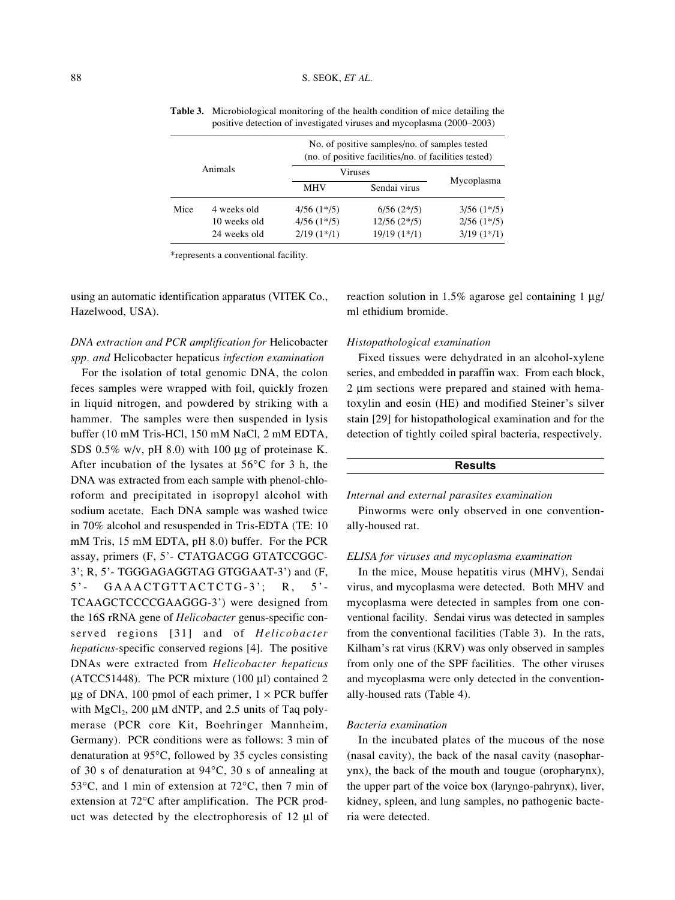| Animals |              | No. of positive samples/no. of samples tested<br>(no. of positive facilities/no. of facilities tested) |               |                 |  |
|---------|--------------|--------------------------------------------------------------------------------------------------------|---------------|-----------------|--|
|         |              | Viruses                                                                                                |               |                 |  |
|         |              | <b>MHV</b>                                                                                             | Sendai virus  | Mycoplasma      |  |
| Mice    | 4 weeks old  | $4/56(1*/5)$                                                                                           | $6/56(2*/5)$  | $3/56$ $(1*/5)$ |  |
|         | 10 weeks old | $4/56(1*/5)$                                                                                           | $12/56(2*/5)$ | $2/56(1*/5)$    |  |
|         | 24 weeks old | $2/19(1*/1)$                                                                                           | $19/19(1*/1)$ | $3/19(1*/1)$    |  |

**Table 3.** Microbiological monitoring of the health condition of mice detailing the positive detection of investigated viruses and mycoplasma (2000–2003)

\*represents a conventional facility.

using an automatic identification apparatus (VITEK Co., Hazelwood, USA).

# *DNA extraction and PCR amplification for* Helicobacter *spp. and* Helicobacter hepaticus *infection examination*

For the isolation of total genomic DNA, the colon feces samples were wrapped with foil, quickly frozen in liquid nitrogen, and powdered by striking with a hammer. The samples were then suspended in lysis buffer (10 mM Tris-HCl, 150 mM NaCl, 2 mM EDTA, SDS  $0.5\%$  w/v, pH  $8.0$ ) with 100 ug of proteinase K. After incubation of the lysates at 56°C for 3 h, the DNA was extracted from each sample with phenol-chloroform and precipitated in isopropyl alcohol with sodium acetate. Each DNA sample was washed twice in 70% alcohol and resuspended in Tris-EDTA (TE: 10 mM Tris, 15 mM EDTA, pH 8.0) buffer. For the PCR assay, primers (F, 5'- CTATGACGG GTATCCGGC-3'; R, 5'- TGGGAGAGGTAG GTGGAAT-3') and (F, 5'- GAAACTGTTACTCTG-3'; R, 5'- TCAAGCTCCCCGAAGGG-3') were designed from the 16S rRNA gene of *Helicobacter* genus-specific conserved regions [31] and of *Helicobacter hepaticus*-specific conserved regions [4]. The positive DNAs were extracted from *Helicobacter hepaticus* (ATCC51448). The PCR mixture (100 µl) contained 2  $\mu$ g of DNA, 100 pmol of each primer,  $1 \times PCR$  buffer with  $MgCl<sub>2</sub>$ , 200 µM dNTP, and 2.5 units of Taq polymerase (PCR core Kit, Boehringer Mannheim, Germany). PCR conditions were as follows: 3 min of denaturation at 95°C, followed by 35 cycles consisting of 30 s of denaturation at 94°C, 30 s of annealing at 53°C, and 1 min of extension at 72°C, then 7 min of extension at 72°C after amplification. The PCR product was detected by the electrophoresis of 12 µl of reaction solution in 1.5% agarose gel containing  $1 \mu$ g/ ml ethidium bromide.

## *Histopathological examination*

Fixed tissues were dehydrated in an alcohol-xylene series, and embedded in paraffin wax. From each block, 2 µm sections were prepared and stained with hematoxylin and eosin (HE) and modified Steiner's silver stain [29] for histopathological examination and for the detection of tightly coiled spiral bacteria, respectively.

## **Results**

#### *Internal and external parasites examination*

Pinworms were only observed in one conventionally-housed rat.

## *ELISA for viruses and mycoplasma examination*

In the mice, Mouse hepatitis virus (MHV), Sendai virus, and mycoplasma were detected. Both MHV and mycoplasma were detected in samples from one conventional facility. Sendai virus was detected in samples from the conventional facilities (Table 3). In the rats, Kilham's rat virus (KRV) was only observed in samples from only one of the SPF facilities. The other viruses and mycoplasma were only detected in the conventionally-housed rats (Table 4).

## *Bacteria examination*

In the incubated plates of the mucous of the nose (nasal cavity), the back of the nasal cavity (nasopharynx), the back of the mouth and tougue (oropharynx), the upper part of the voice box (laryngo-pahrynx), liver, kidney, spleen, and lung samples, no pathogenic bacteria were detected.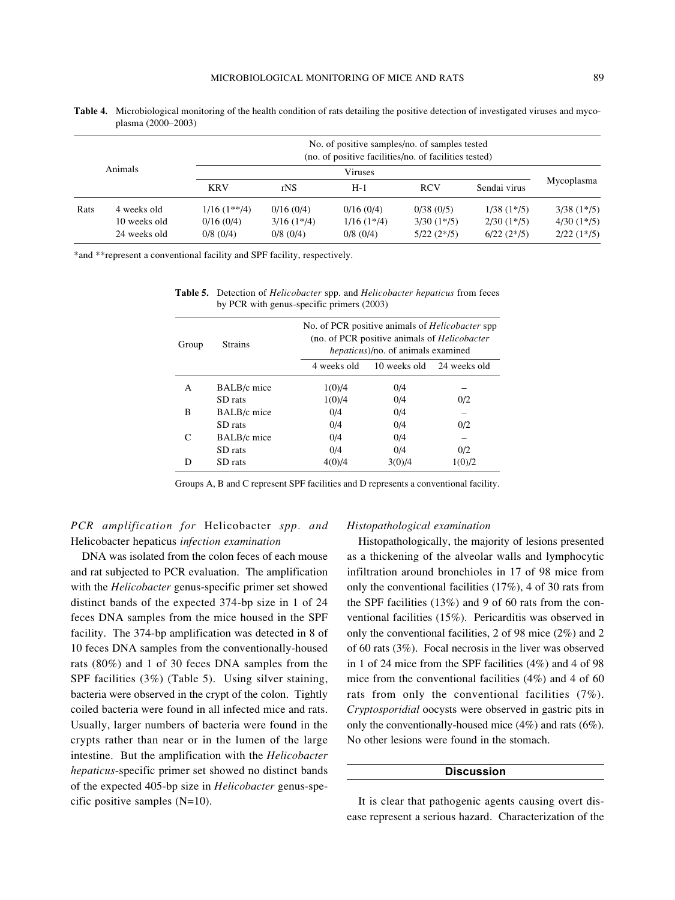|         |              |                  |                 | No. of positive samples/no. of samples tested<br>(no. of positive facilities/no. of facilities tested) |              |                 |                 |
|---------|--------------|------------------|-----------------|--------------------------------------------------------------------------------------------------------|--------------|-----------------|-----------------|
| Animals |              | <b>Viruses</b>   |                 |                                                                                                        |              |                 |                 |
|         |              | <b>KRV</b>       | rNS             | $H-1$                                                                                                  | <b>RCV</b>   | Sendai virus    | Mycoplasma      |
| Rats    | 4 weeks old  | $1/16$ $(1**/4)$ | 0/16(0/4)       | 0/16(0/4)                                                                                              | 0/38(0/5)    | $1/38$ $(1*/5)$ | $3/38$ $(1*/5)$ |
|         | 10 weeks old | 0/16(0/4)        | $3/16$ $(1*/4)$ | $1/16(1*/4)$                                                                                           | $3/30(1*/5)$ | $2/30(1*/5)$    | $4/30(1*/5)$    |
|         | 24 weeks old | $0/8$ (0/4)      | $0/8$ (0/4)     | $0/8$ (0/4)                                                                                            | $5/22(2*/5)$ | $6/22(2*/5)$    | $2/22(1*/5)$    |

**Table 4.** Microbiological monitoring of the health condition of rats detailing the positive detection of investigated viruses and mycoplasma (2000–2003)

\*and \*\*represent a conventional facility and SPF facility, respectively.

| Group | <b>Strains</b> | No. of PCR positive animals of <i>Helicobacter</i> spp<br>(no. of PCR positive animals of <i>Helicobacter</i> )<br><i>hepaticus</i> )/no. of animals examined |        |                           |  |
|-------|----------------|---------------------------------------------------------------------------------------------------------------------------------------------------------------|--------|---------------------------|--|
|       |                | 4 weeks old                                                                                                                                                   |        | 10 weeks old 24 weeks old |  |
| A     | BALB/c mice    | 1(0)/4                                                                                                                                                        | 0/4    |                           |  |
|       | SD rats        | 1(0)/4                                                                                                                                                        | 0/4    | 0/2                       |  |
| B     | BALB/c mice    | 0/4                                                                                                                                                           | 0/4    |                           |  |
|       | SD rats        | 0/4                                                                                                                                                           | 0/4    | 0/2                       |  |
| C     | BALB/c mice    | 0/4                                                                                                                                                           | 0/4    |                           |  |
|       | SD rats        | 0/4                                                                                                                                                           | 0/4    | 0/2                       |  |
| D     | SD rats        | 4(0)/4                                                                                                                                                        | 3(0)/4 | 1(0)/2                    |  |

**Table 5.** Detection of *Helicobacter* spp. and *Helicobacter hepaticus* from feces by PCR with genus-specific primers (2003)

Groups A, B and C represent SPF facilities and D represents a conventional facility.

# *PCR amplification for* Helicobacter *spp. and* Helicobacter hepaticus *infection examination*

DNA was isolated from the colon feces of each mouse and rat subjected to PCR evaluation. The amplification with the *Helicobacter* genus-specific primer set showed distinct bands of the expected 374-bp size in 1 of 24 feces DNA samples from the mice housed in the SPF facility. The 374-bp amplification was detected in 8 of 10 feces DNA samples from the conventionally-housed rats (80%) and 1 of 30 feces DNA samples from the SPF facilities (3%) (Table 5). Using silver staining, bacteria were observed in the crypt of the colon. Tightly coiled bacteria were found in all infected mice and rats. Usually, larger numbers of bacteria were found in the crypts rather than near or in the lumen of the large intestine. But the amplification with the *Helicobacter hepaticus*-specific primer set showed no distinct bands of the expected 405-bp size in *Helicobacter* genus-specific positive samples (N=10).

## *Histopathological examination*

Histopathologically, the majority of lesions presented as a thickening of the alveolar walls and lymphocytic infiltration around bronchioles in 17 of 98 mice from only the conventional facilities (17%), 4 of 30 rats from the SPF facilities (13%) and 9 of 60 rats from the conventional facilities (15%). Pericarditis was observed in only the conventional facilities, 2 of 98 mice (2%) and 2 of 60 rats (3%). Focal necrosis in the liver was observed in 1 of 24 mice from the SPF facilities (4%) and 4 of 98 mice from the conventional facilities (4%) and 4 of 60 rats from only the conventional facilities (7%). *Cryptosporidial* oocysts were observed in gastric pits in only the conventionally-housed mice (4%) and rats (6%). No other lesions were found in the stomach.

## **Discussion**

It is clear that pathogenic agents causing overt disease represent a serious hazard. Characterization of the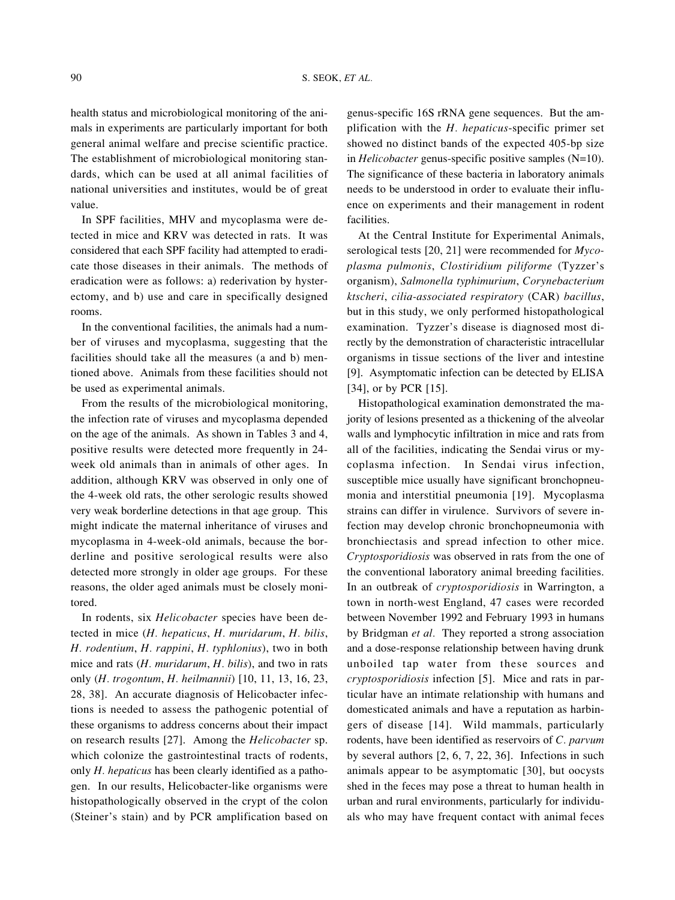health status and microbiological monitoring of the animals in experiments are particularly important for both general animal welfare and precise scientific practice. The establishment of microbiological monitoring standards, which can be used at all animal facilities of national universities and institutes, would be of great value.

In SPF facilities, MHV and mycoplasma were detected in mice and KRV was detected in rats. It was considered that each SPF facility had attempted to eradicate those diseases in their animals. The methods of eradication were as follows: a) rederivation by hysterectomy, and b) use and care in specifically designed rooms.

In the conventional facilities, the animals had a number of viruses and mycoplasma, suggesting that the facilities should take all the measures (a and b) mentioned above. Animals from these facilities should not be used as experimental animals.

From the results of the microbiological monitoring, the infection rate of viruses and mycoplasma depended on the age of the animals. As shown in Tables 3 and 4, positive results were detected more frequently in 24 week old animals than in animals of other ages. In addition, although KRV was observed in only one of the 4-week old rats, the other serologic results showed very weak borderline detections in that age group. This might indicate the maternal inheritance of viruses and mycoplasma in 4-week-old animals, because the borderline and positive serological results were also detected more strongly in older age groups. For these reasons, the older aged animals must be closely monitored.

In rodents, six *Helicobacter* species have been detected in mice (*H. hepaticus*, *H. muridarum*, *H. bilis*, *H. rodentium*, *H. rappini*, *H. typhlonius*), two in both mice and rats (*H. muridarum*, *H. bilis*), and two in rats only (*H. trogontum*, *H. heilmannii*) [10, 11, 13, 16, 23, 28, 38]. An accurate diagnosis of Helicobacter infections is needed to assess the pathogenic potential of these organisms to address concerns about their impact on research results [27]. Among the *Helicobacter* sp. which colonize the gastrointestinal tracts of rodents, only *H. hepaticus* has been clearly identified as a pathogen. In our results, Helicobacter-like organisms were histopathologically observed in the crypt of the colon (Steiner's stain) and by PCR amplification based on

genus-specific 16S rRNA gene sequences. But the amplification with the *H. hepaticus*-specific primer set showed no distinct bands of the expected 405-bp size in *Helicobacter* genus-specific positive samples (N=10). The significance of these bacteria in laboratory animals needs to be understood in order to evaluate their influence on experiments and their management in rodent facilities.

At the Central Institute for Experimental Animals, serological tests [20, 21] were recommended for *Mycoplasma pulmonis*, *Clostiridium piliforme* (Tyzzer's organism), *Salmonella typhimurium*, *Corynebacterium ktscheri*, *cilia-associated respiratory* (CAR) *bacillus*, but in this study, we only performed histopathological examination. Tyzzer's disease is diagnosed most directly by the demonstration of characteristic intracellular organisms in tissue sections of the liver and intestine [9]. Asymptomatic infection can be detected by ELISA [34], or by PCR [15].

Histopathological examination demonstrated the majority of lesions presented as a thickening of the alveolar walls and lymphocytic infiltration in mice and rats from all of the facilities, indicating the Sendai virus or mycoplasma infection. In Sendai virus infection, susceptible mice usually have significant bronchopneumonia and interstitial pneumonia [19]. Mycoplasma strains can differ in virulence. Survivors of severe infection may develop chronic bronchopneumonia with bronchiectasis and spread infection to other mice. *Cryptosporidiosis* was observed in rats from the one of the conventional laboratory animal breeding facilities. In an outbreak of *cryptosporidiosis* in Warrington, a town in north-west England, 47 cases were recorded between November 1992 and February 1993 in humans by Bridgman *et al.* They reported a strong association and a dose-response relationship between having drunk unboiled tap water from these sources and *cryptosporidiosis* infection [5]. Mice and rats in particular have an intimate relationship with humans and domesticated animals and have a reputation as harbingers of disease [14]. Wild mammals, particularly rodents, have been identified as reservoirs of *C. parvum* by several authors [2, 6, 7, 22, 36]. Infections in such animals appear to be asymptomatic [30], but oocysts shed in the feces may pose a threat to human health in urban and rural environments, particularly for individuals who may have frequent contact with animal feces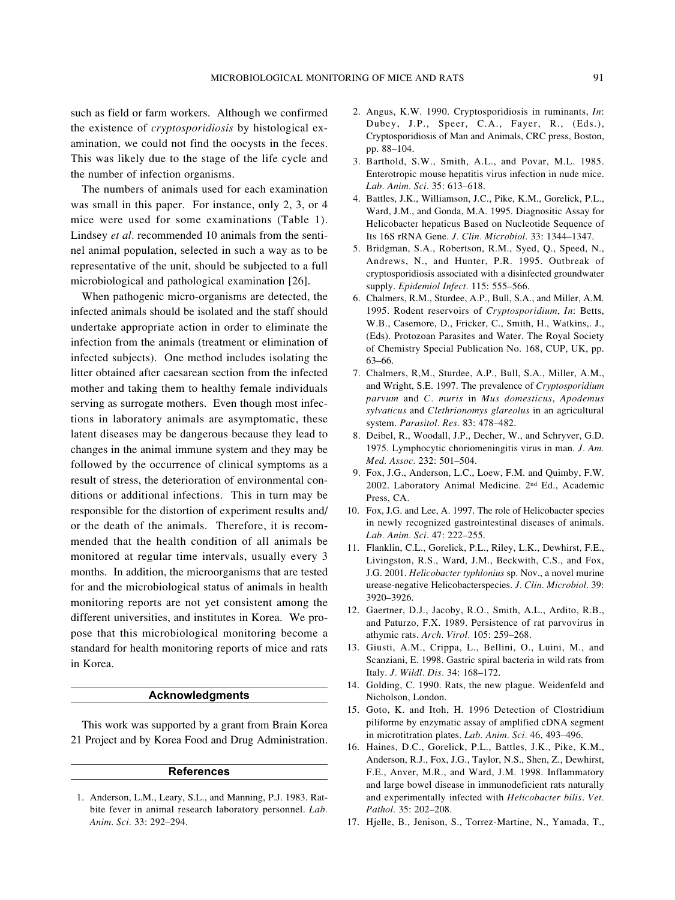such as field or farm workers. Although we confirmed the existence of *cryptosporidiosis* by histological examination, we could not find the oocysts in the feces. This was likely due to the stage of the life cycle and the number of infection organisms.

The numbers of animals used for each examination was small in this paper. For instance, only 2, 3, or 4 mice were used for some examinations (Table 1). Lindsey *et al.* recommended 10 animals from the sentinel animal population, selected in such a way as to be representative of the unit, should be subjected to a full microbiological and pathological examination [26].

When pathogenic micro-organisms are detected, the infected animals should be isolated and the staff should undertake appropriate action in order to eliminate the infection from the animals (treatment or elimination of infected subjects). One method includes isolating the litter obtained after caesarean section from the infected mother and taking them to healthy female individuals serving as surrogate mothers. Even though most infections in laboratory animals are asymptomatic, these latent diseases may be dangerous because they lead to changes in the animal immune system and they may be followed by the occurrence of clinical symptoms as a result of stress, the deterioration of environmental conditions or additional infections. This in turn may be responsible for the distortion of experiment results and/ or the death of the animals. Therefore, it is recommended that the health condition of all animals be monitored at regular time intervals, usually every 3 months. In addition, the microorganisms that are tested for and the microbiological status of animals in health monitoring reports are not yet consistent among the different universities, and institutes in Korea. We propose that this microbiological monitoring become a standard for health monitoring reports of mice and rats in Korea.

## **Acknowledgments**

This work was supported by a grant from Brain Korea 21 Project and by Korea Food and Drug Administration.

## **References**

1. Anderson, L.M., Leary, S.L., and Manning, P.J. 1983. Ratbite fever in animal research laboratory personnel. *Lab. Anim. Sci.* 33: 292–294.

- 2. Angus, K.W. 1990. Cryptosporidiosis in ruminants, *In*: Dubey, J.P., Speer, C.A., Fayer, R., (Eds.), Cryptosporidiosis of Man and Animals, CRC press, Boston, pp. 88–104.
- 3. Barthold, S.W., Smith, A.L., and Povar, M.L. 1985. Enterotropic mouse hepatitis virus infection in nude mice. *Lab. Anim. Sci.* 35: 613–618.
- 4. Battles, J.K., Williamson, J.C., Pike, K.M., Gorelick, P.L., Ward, J.M., and Gonda, M.A. 1995. Diagnositic Assay for Helicobacter hepaticus Based on Nucleotide Sequence of Its 16S rRNA Gene. *J. Clin. Microbiol.* 33: 1344–1347.
- 5. Bridgman, S.A., Robertson, R.M., Syed, Q., Speed, N., Andrews, N., and Hunter, P.R. 1995. Outbreak of cryptosporidiosis associated with a disinfected groundwater supply. *Epidemiol Infect.* 115: 555–566.
- 6. Chalmers, R.M., Sturdee, A.P., Bull, S.A., and Miller, A.M. 1995. Rodent reservoirs of *Cryptosporidium*, *In*: Betts, W.B., Casemore, D., Fricker, C., Smith, H., Watkins,. J., (Eds). Protozoan Parasites and Water. The Royal Society of Chemistry Special Publication No. 168, CUP, UK, pp. 63–66.
- 7. Chalmers, R,M., Sturdee, A.P., Bull, S.A., Miller, A.M., and Wright, S.E. 1997. The prevalence of *Cryptosporidium parvum* and *C. muris* in *Mus domesticus*, *Apodemus sylvaticus* and *Clethrionomys glareolus* in an agricultural system. *Parasitol. Res.* 83: 478–482.
- 8. Deibel, R., Woodall, J.P., Decher, W., and Schryver, G.D. 1975. Lymphocytic choriomeningitis virus in man. *J. Am. Med. Assoc.* 232: 501–504.
- 9. Fox, J.G., Anderson, L.C., Loew, F.M. and Quimby, F.W. 2002. Laboratory Animal Medicine. 2nd Ed., Academic Press, CA.
- 10. Fox, J.G. and Lee, A. 1997. The role of Helicobacter species in newly recognized gastrointestinal diseases of animals. *Lab. Anim. Sci.* 47: 222–255.
- 11. Flanklin, C.L., Gorelick, P.L., Riley, L.K., Dewhirst, F.E., Livingston, R.S., Ward, J.M., Beckwith, C.S., and Fox, J.G. 2001. *Helicobacter typhlonius* sp. Nov., a novel murine urease-negative Helicobacterspecies. *J. Clin. Microbiol.* 39: 3920–3926.
- 12. Gaertner, D.J., Jacoby, R.O., Smith, A.L., Ardito, R.B., and Paturzo, F.X. 1989. Persistence of rat parvovirus in athymic rats. *Arch. Virol.* 105: 259–268.
- 13. Giusti, A.M., Crippa, L., Bellini, O., Luini, M., and Scanziani, E. 1998. Gastric spiral bacteria in wild rats from Italy. *J. Wildl. Dis.* 34: 168–172.
- 14. Golding, C. 1990. Rats, the new plague. Weidenfeld and Nicholson, London.
- 15. Goto, K. and Itoh, H. 1996 Detection of Clostridium piliforme by enzymatic assay of amplified cDNA segment in microtitration plates. *Lab. Anim. Sci.* 46, 493–496.
- 16. Haines, D.C., Gorelick, P.L., Battles, J.K., Pike, K.M., Anderson, R.J., Fox, J.G., Taylor, N.S., Shen, Z., Dewhirst, F.E., Anver, M.R., and Ward, J.M. 1998. Inflammatory and large bowel disease in immunodeficient rats naturally and experimentally infected with *Helicobacter bilis*. *Vet. Pathol.* 35: 202–208.
- 17. Hjelle, B., Jenison, S., Torrez-Martine, N., Yamada, T.,